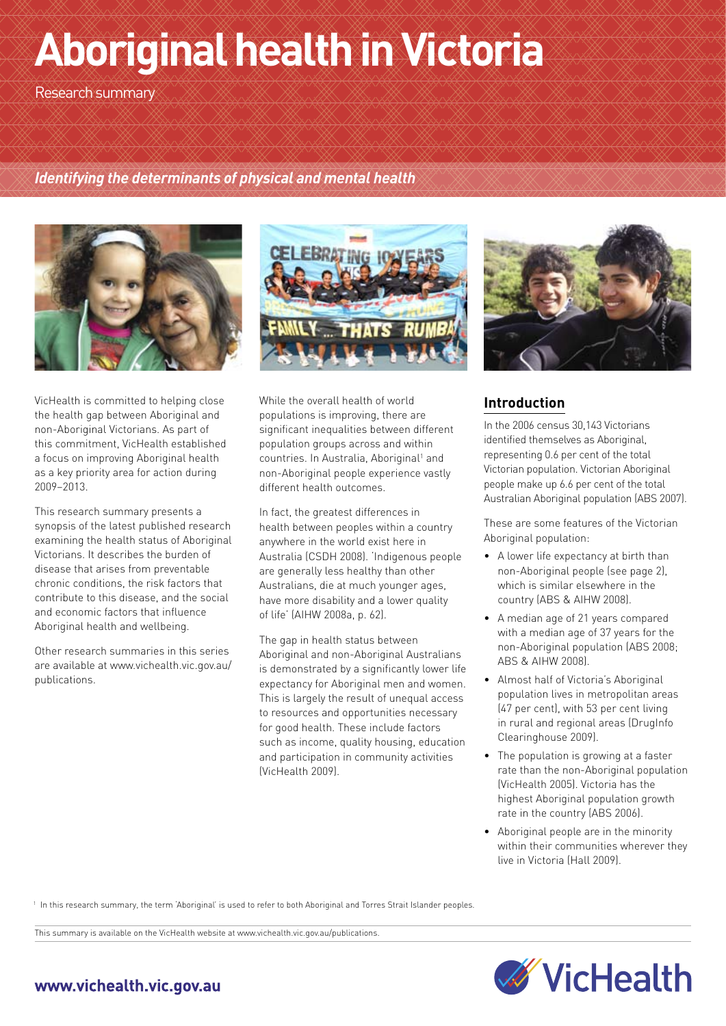# **Aboriginal health in Victoria**

Research summary

#### *Identifying the determinants of physical and mental health*



VicHealth is committed to helping close the health gap between Aboriginal and non-Aboriginal Victorians. As part of this commitment, VicHealth established a focus on improving Aboriginal health as a key priority area for action during 2009−2013.

This research summary presents a synopsis of the latest published research examining the health status of Aboriginal Victorians. It describes the burden of disease that arises from preventable chronic conditions, the risk factors that contribute to this disease, and the social and economic factors that influence Aboriginal health and wellbeing.

Other research summaries in this series are available at www.vichealth.vic.gov.au/ publications.



While the overall health of world populations is improving, there are significant inequalities between different population groups across and within countries. In Australia, Aboriginal<sup>1</sup> and non-Aboriginal people experience vastly different health outcomes.

In fact, the greatest differences in health between peoples within a country anywhere in the world exist here in Australia (CSDH 2008). 'Indigenous people are generally less healthy than other Australians, die at much younger ages, have more disability and a lower quality of life' (AIHW 2008a, p. 62).

The gap in health status between Aboriginal and non-Aboriginal Australians is demonstrated by a significantly lower life expectancy for Aboriginal men and women. This is largely the result of unequal access to resources and opportunities necessary for good health. These include factors such as income, quality housing, education and participation in community activities (VicHealth 2009).



## **Introduction**

In the 2006 census 30,143 Victorians identified themselves as Aboriginal, representing 0.6 per cent of the total Victorian population. Victorian Aboriginal people make up 6.6 per cent of the total Australian Aboriginal population (ABS 2007).

These are some features of the Victorian Aboriginal population:

- A lower life expectancy at birth than non-Aboriginal people (see page 2), which is similar elsewhere in the country (ABS & AIHW 2008).
- A median age of 21 years compared with a median age of 37 years for the non-Aboriginal population (ABS 2008; ABS & AIHW 2008).
- Almost half of Victoria's Aboriginal population lives in metropolitan areas (47 per cent), with 53 per cent living in rural and regional areas (DrugInfo Clearinghouse 2009).
- The population is growing at a faster rate than the non-Aboriginal population (VicHealth 2005). Victoria has the highest Aboriginal population growth rate in the country (ABS 2006).
- Aboriginal people are in the minority within their communities wherever they live in Victoria (Hall 2009).

<sup>1</sup> In this research summary, the term 'Aboriginal' is used to refer to both Aboriginal and Torres Strait Islander peoples.

This summary is available on the VicHealth website at www.vichealth.vic.gov.au/publications.



# www.vichealth.vic.gov.au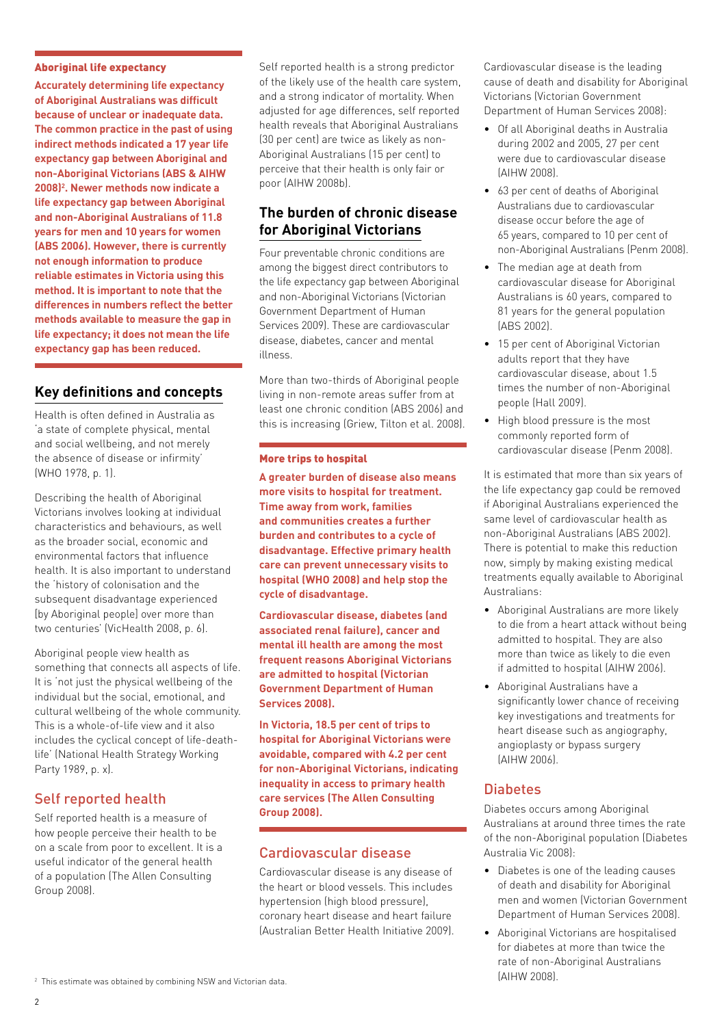#### Aboriginal life expectancy

**Accurately determining life expectancy of Aboriginal Australians was difficult because of unclear or inadequate data. The common practice in the past of using indirect methods indicated a 17 year life expectancy gap between Aboriginal and non-Aboriginal Victorians (ABS & AIHW 2008)2 . Newer methods now indicate a life expectancy gap between Aboriginal and non-Aboriginal Australians of 11.8 years for men and 10 years for women (ABS 2006). However, there is currently not enough information to produce reliable estimates in Victoria using this method. It is important to note that the differences in numbers reflect the better methods available to measure the gap in life expectancy; it does not mean the life expectancy gap has been reduced.**

## **Key definitions and concepts**

Health is often defined in Australia as 'a state of complete physical, mental and social wellbeing, and not merely the absence of disease or infirmity' (WHO 1978, p. 1).

Describing the health of Aboriginal Victorians involves looking at individual characteristics and behaviours, as well as the broader social, economic and environmental factors that influence health. It is also important to understand the 'history of colonisation and the subsequent disadvantage experienced [by Aboriginal people] over more than two centuries' (VicHealth 2008, p. 6).

Aboriginal people view health as something that connects all aspects of life. It is 'not just the physical wellbeing of the individual but the social, emotional, and cultural wellbeing of the whole community. This is a whole-of-life view and it also includes the cyclical concept of life-deathlife' (National Health Strategy Working Party 1989, p. x).

# Self reported health

Self reported health is a measure of how people perceive their health to be on a scale from poor to excellent. It is a useful indicator of the general health of a population (The Allen Consulting Group 2008).

Self reported health is a strong predictor of the likely use of the health care system, and a strong indicator of mortality. When adjusted for age differences, self reported health reveals that Aboriginal Australians (30 per cent) are twice as likely as non-Aboriginal Australians (15 per cent) to perceive that their health is only fair or poor (AIHW 2008b).

## **The burden of chronic disease for Aboriginal Victorians**

Four preventable chronic conditions are among the biggest direct contributors to the life expectancy gap between Aboriginal and non-Aboriginal Victorians (Victorian Government Department of Human Services 2009). These are cardiovascular disease, diabetes, cancer and mental illness.

More than two-thirds of Aboriginal people living in non-remote areas suffer from at least one chronic condition (ABS 2006) and this is increasing (Griew, Tilton et al. 2008).

#### More trips to hospital

**A greater burden of disease also means more visits to hospital for treatment. Time away from work, families and communities creates a further burden and contributes to a cycle of disadvantage. Effective primary health care can prevent unnecessary visits to hospital (WHO 2008) and help stop the cycle of disadvantage.** 

**Cardiovascular disease, diabetes (and associated renal failure), cancer and mental ill health are among the most frequent reasons Aboriginal Victorians are admitted to hospital (Victorian Government Department of Human Services 2008).**

**In Victoria, 18.5 per cent of trips to hospital for Aboriginal Victorians were avoidable, compared with 4.2 per cent for non-Aboriginal Victorians, indicating inequality in access to primary health care services (The Allen Consulting Group 2008).**

#### Cardiovascular disease

Cardiovascular disease is any disease of the heart or blood vessels. This includes hypertension (high blood pressure), coronary heart disease and heart failure (Australian Better Health Initiative 2009). Cardiovascular disease is the leading cause of death and disability for Aboriginal Victorians (Victorian Government Department of Human Services 2008):

- Of all Aboriginal deaths in Australia during 2002 and 2005, 27 per cent were due to cardiovascular disease (AIHW 2008).
- 63 per cent of deaths of Aboriginal Australians due to cardiovascular disease occur before the age of 65 years, compared to 10 per cent of non-Aboriginal Australians (Penm 2008).
- The median age at death from cardiovascular disease for Aboriginal Australians is 60 years, compared to 81 years for the general population (ABS 2002).
- 15 per cent of Aboriginal Victorian adults report that they have cardiovascular disease, about 1.5 times the number of non-Aboriginal people (Hall 2009).
- High blood pressure is the most commonly reported form of cardiovascular disease (Penm 2008).

It is estimated that more than six years of the life expectancy gap could be removed if Aboriginal Australians experienced the same level of cardiovascular health as non-Aboriginal Australians (ABS 2002). There is potential to make this reduction now, simply by making existing medical treatments equally available to Aboriginal Australians:

- Aboriginal Australians are more likely to die from a heart attack without being admitted to hospital. They are also more than twice as likely to die even if admitted to hospital (AIHW 2006).
- Aboriginal Australians have a significantly lower chance of receiving key investigations and treatments for heart disease such as angiography, angioplasty or bypass surgery (AIHW 2006).

## **Diabetes**

Diabetes occurs among Aboriginal Australians at around three times the rate of the non-Aboriginal population (Diabetes Australia Vic 2008):

- Diabetes is one of the leading causes of death and disability for Aboriginal men and women (Victorian Government Department of Human Services 2008).
- Aboriginal Victorians are hospitalised for diabetes at more than twice the rate of non-Aboriginal Australians (AIHW 2008).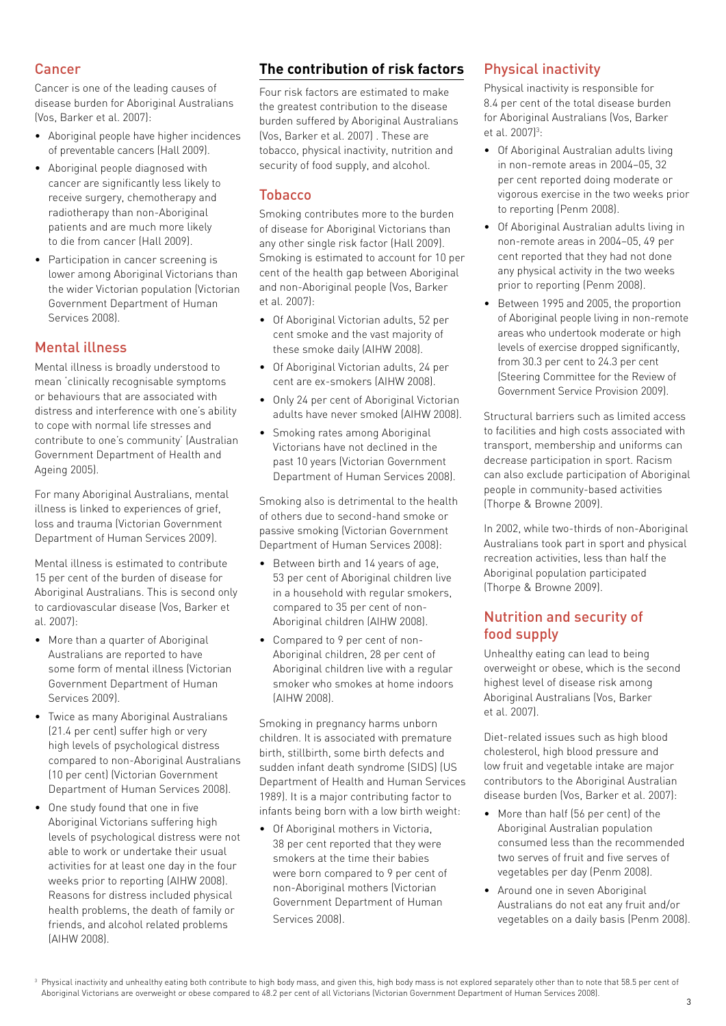#### Cancer

Cancer is one of the leading causes of disease burden for Aboriginal Australians (Vos, Barker et al. 2007):

- Aboriginal people have higher incidences of preventable cancers (Hall 2009).
- Aboriginal people diagnosed with cancer are significantly less likely to receive surgery, chemotherapy and radiotherapy than non-Aboriginal patients and are much more likely to die from cancer (Hall 2009).
- Participation in cancer screening is lower among Aboriginal Victorians than the wider Victorian population (Victorian Government Department of Human Services 2008).

## Mental illness

Mental illness is broadly understood to mean 'clinically recognisable symptoms or behaviours that are associated with distress and interference with one's ability to cope with normal life stresses and contribute to one's community' (Australian Government Department of Health and Ageing 2005).

For many Aboriginal Australians, mental illness is linked to experiences of grief, loss and trauma (Victorian Government Department of Human Services 2009).

Mental illness is estimated to contribute 15 per cent of the burden of disease for Aboriginal Australians. This is second only to cardiovascular disease (Vos, Barker et al. 2007):

- More than a quarter of Aboriginal Australians are reported to have some form of mental illness (Victorian Government Department of Human Services 2009).
- Twice as many Aboriginal Australians (21.4 per cent) suffer high or very high levels of psychological distress compared to non-Aboriginal Australians (10 per cent) (Victorian Government Department of Human Services 2008).
- One study found that one in five Aboriginal Victorians suffering high levels of psychological distress were not able to work or undertake their usual activities for at least one day in the four weeks prior to reporting (AIHW 2008). Reasons for distress included physical health problems, the death of family or friends, and alcohol related problems (AIHW 2008).

# **The contribution of risk factors**

Four risk factors are estimated to make the greatest contribution to the disease burden suffered by Aboriginal Australians (Vos, Barker et al. 2007) . These are tobacco, physical inactivity, nutrition and security of food supply, and alcohol.

#### Tobacco

Smoking contributes more to the burden of disease for Aboriginal Victorians than any other single risk factor (Hall 2009). Smoking is estimated to account for 10 per cent of the health gap between Aboriginal and non-Aboriginal people (Vos, Barker et al. 2007):

- Of Aboriginal Victorian adults, 52 per cent smoke and the vast majority of these smoke daily (AIHW 2008).
- Of Aboriginal Victorian adults, 24 per cent are ex-smokers (AIHW 2008).
- Only 24 per cent of Aboriginal Victorian adults have never smoked (AIHW 2008).
- Smoking rates among Aboriginal Victorians have not declined in the past 10 years (Victorian Government Department of Human Services 2008).

Smoking also is detrimental to the health of others due to second-hand smoke or passive smoking (Victorian Government Department of Human Services 2008):

- Between birth and 14 years of age, 53 per cent of Aboriginal children live in a household with regular smokers, compared to 35 per cent of non-Aboriginal children (AIHW 2008).
- Compared to 9 per cent of non-Aboriginal children, 28 per cent of Aboriginal children live with a regular smoker who smokes at home indoors (AIHW 2008).

Smoking in pregnancy harms unborn children. It is associated with premature birth, stillbirth, some birth defects and sudden infant death syndrome (SIDS) (US Department of Health and Human Services 1989). It is a major contributing factor to infants being born with a low birth weight:

• Of Aboriginal mothers in Victoria, 38 per cent reported that they were smokers at the time their babies were born compared to 9 per cent of non-Aboriginal mothers (Victorian Government Department of Human Services 2008).

## Physical inactivity

Physical inactivity is responsible for 8.4 per cent of the total disease burden for Aboriginal Australians (Vos, Barker et al. 2007)<sup>3</sup>:

- Of Aboriginal Australian adults living in non-remote areas in 2004–05, 32 per cent reported doing moderate or vigorous exercise in the two weeks prior to reporting (Penm 2008).
- Of Aboriginal Australian adults living in non-remote areas in 2004–05, 49 per cent reported that they had not done any physical activity in the two weeks prior to reporting (Penm 2008).
- Between 1995 and 2005, the proportion of Aboriginal people living in non-remote areas who undertook moderate or high levels of exercise dropped significantly, from 30.3 per cent to 24.3 per cent (Steering Committee for the Review of Government Service Provision 2009).

Structural barriers such as limited access to facilities and high costs associated with transport, membership and uniforms can decrease participation in sport. Racism can also exclude participation of Aboriginal people in community-based activities (Thorpe & Browne 2009).

In 2002, while two-thirds of non-Aboriginal Australians took part in sport and physical recreation activities, less than half the Aboriginal population participated (Thorpe & Browne 2009).

# Nutrition and security of food supply

Unhealthy eating can lead to being overweight or obese, which is the second highest level of disease risk among Aboriginal Australians (Vos, Barker et al. 2007).

Diet-related issues such as high blood cholesterol, high blood pressure and low fruit and vegetable intake are major contributors to the Aboriginal Australian disease burden (Vos, Barker et al. 2007):

- More than half (56 per cent) of the Aboriginal Australian population consumed less than the recommended two serves of fruit and five serves of vegetables per day (Penm 2008).
- Around one in seven Aboriginal Australians do not eat any fruit and/or vegetables on a daily basis (Penm 2008).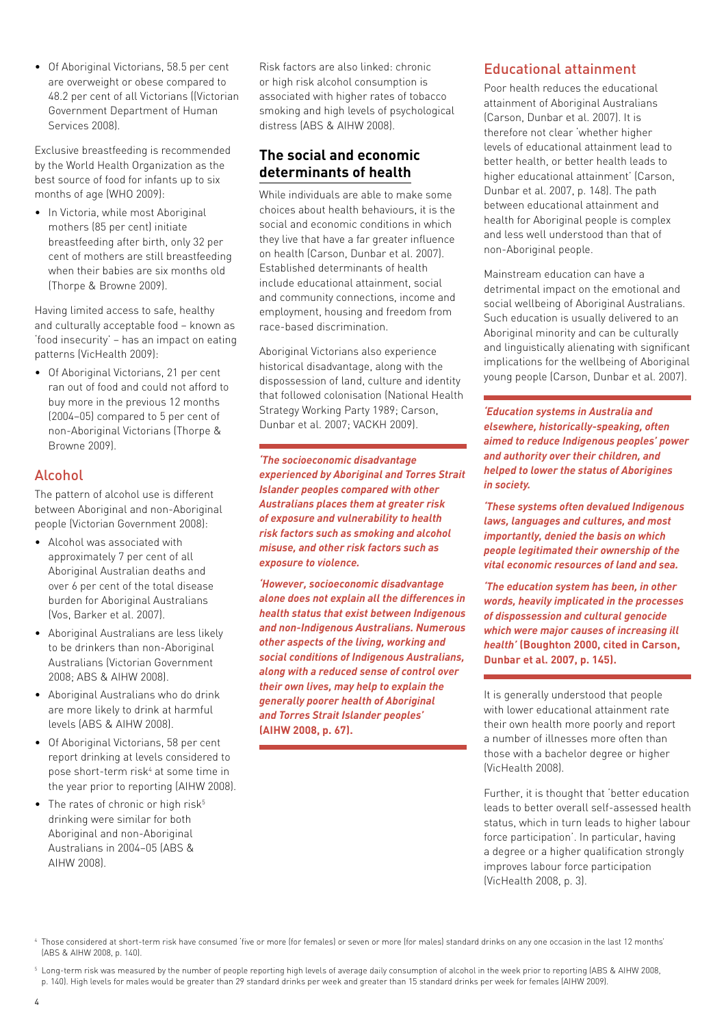• Of Aboriginal Victorians, 58.5 per cent are overweight or obese compared to 48.2 per cent of all Victorians ((Victorian Government Department of Human Services 2008).

Exclusive breastfeeding is recommended by the World Health Organization as the best source of food for infants up to six months of age (WHO 2009):

• In Victoria, while most Aboriginal mothers (85 per cent) initiate breastfeeding after birth, only 32 per cent of mothers are still breastfeeding when their babies are six months old (Thorpe & Browne 2009).

Having limited access to safe, healthy and culturally acceptable food – known as 'food insecurity' – has an impact on eating patterns (VicHealth 2009):

• Of Aboriginal Victorians, 21 per cent ran out of food and could not afford to buy more in the previous 12 months (2004−05) compared to 5 per cent of non-Aboriginal Victorians (Thorpe & Browne 2009).

#### Alcohol

The pattern of alcohol use is different between Aboriginal and non-Aboriginal people (Victorian Government 2008):

- Alcohol was associated with approximately 7 per cent of all Aboriginal Australian deaths and over 6 per cent of the total disease burden for Aboriginal Australians (Vos, Barker et al. 2007).
- Aboriginal Australians are less likely to be drinkers than non-Aboriginal Australians (Victorian Government 2008; ABS & AIHW 2008).
- Aboriginal Australians who do drink are more likely to drink at harmful levels (ABS & AIHW 2008).
- Of Aboriginal Victorians, 58 per cent report drinking at levels considered to pose short-term risk<sup>4</sup> at some time in the year prior to reporting (AIHW 2008).
- The rates of chronic or high risk<sup>5</sup> drinking were similar for both Aboriginal and non-Aboriginal Australians in 2004−05 (ABS & AIHW 2008).

Risk factors are also linked: chronic or high risk alcohol consumption is associated with higher rates of tobacco smoking and high levels of psychological distress (ABS & AIHW 2008).

# **The social and economic determinants of health**

While individuals are able to make some choices about health behaviours, it is the social and economic conditions in which they live that have a far greater influence on health (Carson, Dunbar et al. 2007). Established determinants of health include educational attainment, social and community connections, income and employment, housing and freedom from race-based discrimination.

Aboriginal Victorians also experience historical disadvantage, along with the dispossession of land, culture and identity that followed colonisation (National Health Strategy Working Party 1989; Carson, Dunbar et al. 2007; VACKH 2009).

*'The socioeconomic disadvantage experienced by Aboriginal and Torres Strait Islander peoples compared with other Australians places them at greater risk of exposure and vulnerability to health risk factors such as smoking and alcohol misuse, and other risk factors such as exposure to violence.* 

*'However, socioeconomic disadvantage alone does not explain all the differences in health status that exist between Indigenous and non-Indigenous Australians. Numerous other aspects of the living, working and social conditions of Indigenous Australians, along with a reduced sense of control over their own lives, may help to explain the generally poorer health of Aboriginal and Torres Strait Islander peoples'*  **(AIHW 2008, p. 67).**

#### Educational attainment

Poor health reduces the educational attainment of Aboriginal Australians (Carson, Dunbar et al. 2007). It is therefore not clear 'whether higher levels of educational attainment lead to better health, or better health leads to higher educational attainment' (Carson, Dunbar et al. 2007, p. 148). The path between educational attainment and health for Aboriginal people is complex and less well understood than that of non-Aboriginal people.

Mainstream education can have a detrimental impact on the emotional and social wellbeing of Aboriginal Australians. Such education is usually delivered to an Aboriginal minority and can be culturally and linguistically alienating with significant implications for the wellbeing of Aboriginal young people (Carson, Dunbar et al. 2007).

*'Education systems in Australia and elsewhere, historically-speaking, often aimed to reduce Indigenous peoples' power and authority over their children, and helped to lower the status of Aborigines in society.* 

*'These systems often devalued Indigenous laws, languages and cultures, and most importantly, denied the basis on which people legitimated their ownership of the vital economic resources of land and sea.* 

*'The education system has been, in other words, heavily implicated in the processes of dispossession and cultural genocide which were major causes of increasing ill health'* **(Boughton 2000, cited in Carson, Dunbar et al. 2007, p. 145).**

It is generally understood that people with lower educational attainment rate their own health more poorly and report a number of illnesses more often than those with a bachelor degree or higher (VicHealth 2008).

Further, it is thought that 'better education leads to better overall self-assessed health status, which in turn leads to higher labour force participation'. In particular, having a degree or a higher qualification strongly improves labour force participation (VicHealth 2008, p. 3).

<sup>5</sup> Long-term risk was measured by the number of people reporting high levels of average daily consumption of alcohol in the week prior to reporting (ABS & AIHW 2008, p. 140). High levels for males would be greater than 29 standard drinks per week and greater than 15 standard drinks per week for females (AIHW 2009).

<sup>4</sup> Those considered at short-term risk have consumed 'five or more (for females) or seven or more (for males) standard drinks on any one occasion in the last 12 months' (ABS & AIHW 2008, p. 140).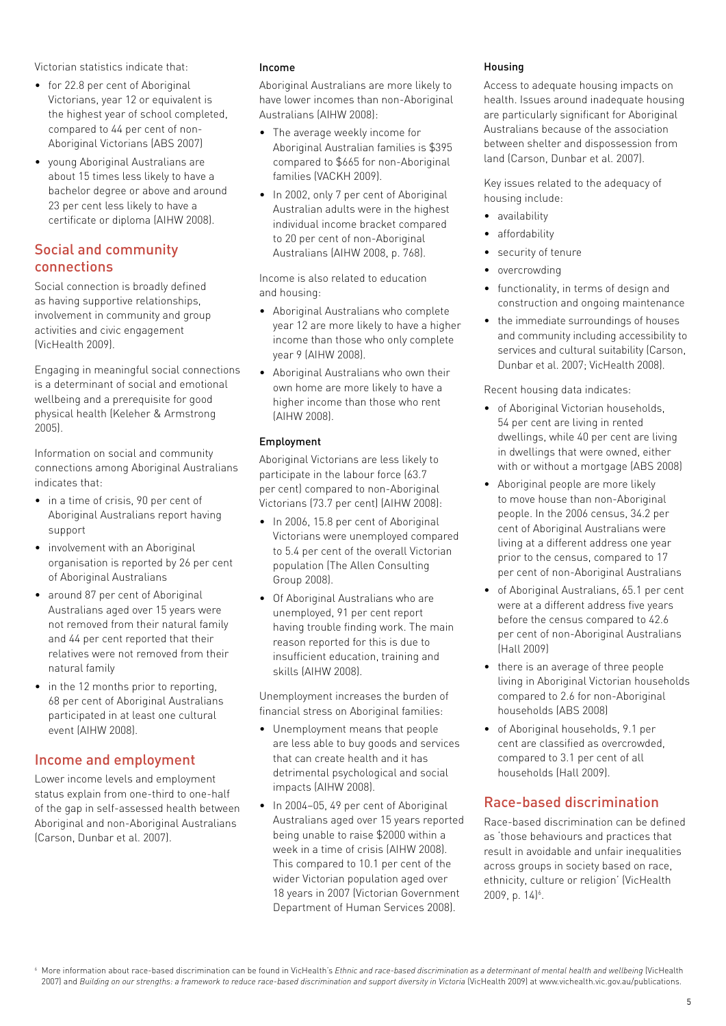Victorian statistics indicate that:

- for 22.8 per cent of Aboriginal Victorians, year 12 or equivalent is the highest year of school completed, compared to 44 per cent of non-Aboriginal Victorians (ABS 2007)
- young Aboriginal Australians are about 15 times less likely to have a bachelor degree or above and around 23 per cent less likely to have a certificate or diploma (AIHW 2008).

## Social and community connections

Social connection is broadly defined as having supportive relationships, involvement in community and group activities and civic engagement (VicHealth 2009).

Engaging in meaningful social connections is a determinant of social and emotional wellbeing and a prerequisite for good physical health (Keleher & Armstrong 2005).

Information on social and community connections among Aboriginal Australians indicates that:

- in a time of crisis, 90 per cent of Aboriginal Australians report having support
- involvement with an Aboriginal organisation is reported by 26 per cent of Aboriginal Australians
- around 87 per cent of Aboriginal Australians aged over 15 years were not removed from their natural family and 44 per cent reported that their relatives were not removed from their natural family
- in the 12 months prior to reporting, 68 per cent of Aboriginal Australians participated in at least one cultural event (AIHW 2008).

## Income and employment

Lower income levels and employment status explain from one-third to one-half of the gap in self-assessed health between Aboriginal and non-Aboriginal Australians (Carson, Dunbar et al. 2007).

#### Income

Aboriginal Australians are more likely to have lower incomes than non-Aboriginal Australians (AIHW 2008):

- The average weekly income for Aboriginal Australian families is \$395 compared to \$665 for non-Aboriginal families (VACKH 2009).
- In 2002, only 7 per cent of Aboriginal Australian adults were in the highest individual income bracket compared to 20 per cent of non-Aboriginal Australians (AIHW 2008, p. 768).

Income is also related to education and housing:

- Aboriginal Australians who complete year 12 are more likely to have a higher income than those who only complete year 9 (AIHW 2008).
- Aboriginal Australians who own their own home are more likely to have a higher income than those who rent (AIHW 2008).

#### Employment

Aboriginal Victorians are less likely to participate in the labour force (63.7 per cent) compared to non-Aboriginal Victorians (73.7 per cent) (AIHW 2008):

- In 2006, 15.8 per cent of Aboriginal Victorians were unemployed compared to 5.4 per cent of the overall Victorian population (The Allen Consulting Group 2008).
- Of Aboriginal Australians who are unemployed, 91 per cent report having trouble finding work. The main reason reported for this is due to insufficient education, training and skills (AIHW 2008).

Unemployment increases the burden of financial stress on Aboriginal families:

- Unemployment means that people are less able to buy goods and services that can create health and it has detrimental psychological and social impacts (AIHW 2008).
- In 2004–05, 49 per cent of Aboriginal Australians aged over 15 years reported being unable to raise \$2000 within a week in a time of crisis (AIHW 2008). This compared to 10.1 per cent of the wider Victorian population aged over 18 years in 2007 (Victorian Government Department of Human Services 2008).

#### Housing

Access to adequate housing impacts on health. Issues around inadequate housing are particularly significant for Aboriginal Australians because of the association between shelter and dispossession from land (Carson, Dunbar et al. 2007).

Key issues related to the adequacy of housing include:

- availability
- affordability
- security of tenure
- overcrowding
- functionality, in terms of design and construction and ongoing maintenance
- the immediate surroundings of houses and community including accessibility to services and cultural suitability (Carson, Dunbar et al. 2007; VicHealth 2008).

Recent housing data indicates:

- of Aboriginal Victorian households, 54 per cent are living in rented dwellings, while 40 per cent are living in dwellings that were owned, either with or without a mortgage (ABS 2008)
- Aboriginal people are more likely to move house than non-Aboriginal people. In the 2006 census, 34.2 per cent of Aboriginal Australians were living at a different address one year prior to the census, compared to 17 per cent of non-Aboriginal Australians
- of Aboriginal Australians, 65.1 per cent were at a different address five years before the census compared to 42.6 per cent of non-Aboriginal Australians (Hall 2009)
- there is an average of three people living in Aboriginal Victorian households compared to 2.6 for non-Aboriginal households (ABS 2008)
- of Aboriginal households, 9.1 per cent are classified as overcrowded, compared to 3.1 per cent of all households (Hall 2009).

## Race-based discrimination

Race-based discrimination can be defined as 'those behaviours and practices that result in avoidable and unfair inequalities across groups in society based on race, ethnicity, culture or religion' (VicHealth 2009, p. 14)<sup>6</sup>.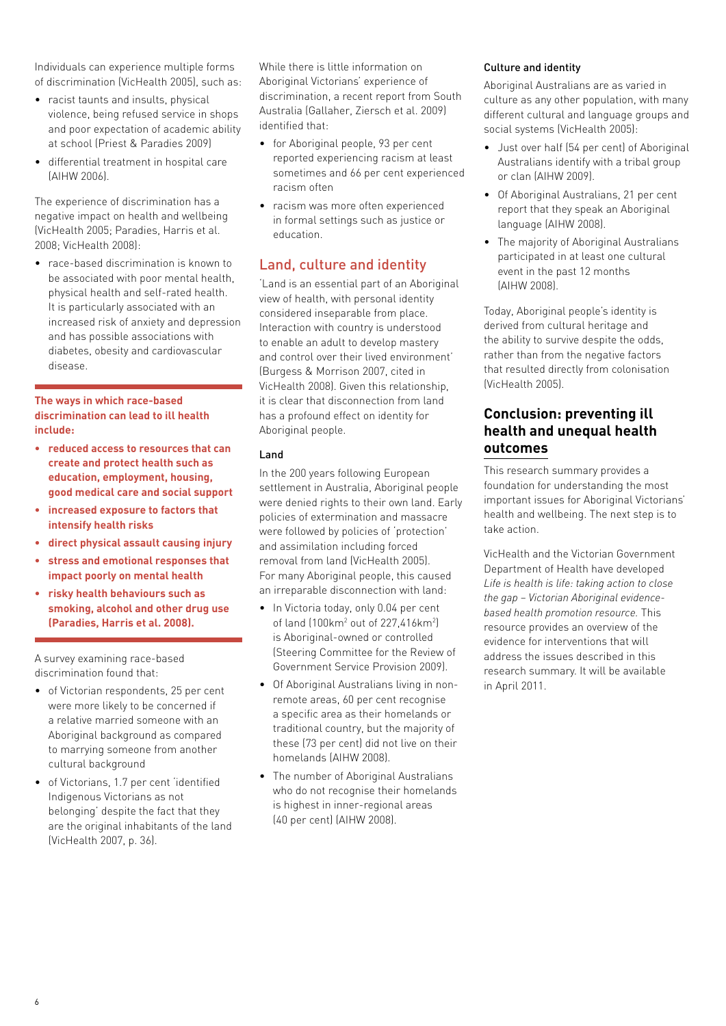Individuals can experience multiple forms of discrimination (VicHealth 2005), such as:

- racist taunts and insults, physical violence, being refused service in shops and poor expectation of academic ability at school (Priest & Paradies 2009)
- differential treatment in hospital care (AIHW 2006).

The experience of discrimination has a negative impact on health and wellbeing (VicHealth 2005; Paradies, Harris et al. 2008; VicHealth 2008):

• race-based discrimination is known to be associated with poor mental health physical health and self-rated health. It is particularly associated with an increased risk of anxiety and depression and has possible associations with diabetes, obesity and cardiovascular disease.

#### **The ways in which race-based discrimination can lead to ill health include:**

- **• reduced access to resources that can create and protect health such as education, employment, housing, good medical care and social support**
- **• increased exposure to factors that intensify health risks**
- **• direct physical assault causing injury**
- **• stress and emotional responses that impact poorly on mental health**
- **• risky health behaviours such as smoking, alcohol and other drug use (Paradies, Harris et al. 2008).**

A survey examining race-based discrimination found that:

- of Victorian respondents, 25 per cent were more likely to be concerned if a relative married someone with an Aboriginal background as compared to marrying someone from another cultural background
- of Victorians, 1.7 per cent 'identified Indigenous Victorians as not belonging' despite the fact that they are the original inhabitants of the land (VicHealth 2007, p. 36).

While there is little information on Aboriginal Victorians' experience of discrimination, a recent report from South Australia (Gallaher, Ziersch et al. 2009) identified that:

- for Aboriginal people, 93 per cent reported experiencing racism at least sometimes and 66 per cent experienced racism often
- racism was more often experienced in formal settings such as justice or education.

# Land, culture and identity

'Land is an essential part of an Aboriginal view of health, with personal identity considered inseparable from place. Interaction with country is understood to enable an adult to develop mastery and control over their lived environment' (Burgess & Morrison 2007, cited in VicHealth 2008). Given this relationship, it is clear that disconnection from land has a profound effect on identity for Aboriginal people.

#### Land

In the 200 years following European settlement in Australia, Aboriginal people were denied rights to their own land. Early policies of extermination and massacre were followed by policies of 'protection' and assimilation including forced removal from land (VicHealth 2005). For many Aboriginal people, this caused an irreparable disconnection with land:

- In Victoria today, only 0.04 per cent of land (100km<sup>2</sup> out of 227,416km<sup>2</sup>) is Aboriginal-owned or controlled (Steering Committee for the Review of Government Service Provision 2009).
- Of Aboriginal Australians living in nonremote areas, 60 per cent recognise a specific area as their homelands or traditional country, but the majority of these (73 per cent) did not live on their homelands (AIHW 2008).
- The number of Aboriginal Australians who do not recognise their homelands is highest in inner-regional areas (40 per cent) (AIHW 2008).

#### Culture and identity

Aboriginal Australians are as varied in culture as any other population, with many different cultural and language groups and social systems (VicHealth 2005):

- Just over half (54 per cent) of Aboriginal Australians identify with a tribal group or clan (AIHW 2009).
- Of Aboriginal Australians, 21 per cent report that they speak an Aboriginal language (AIHW 2008).
- The majority of Aboriginal Australians participated in at least one cultural event in the past 12 months (AIHW 2008).

Today, Aboriginal people's identity is derived from cultural heritage and the ability to survive despite the odds, rather than from the negative factors that resulted directly from colonisation (VicHealth 2005).

## **Conclusion: preventing ill health and unequal health outcomes**

This research summary provides a foundation for understanding the most important issues for Aboriginal Victorians' health and wellbeing. The next step is to take action.

VicHealth and the Victorian Government Department of Health have developed *Life is health is life: taking action to close the gap – Victorian Aboriginal evidencebased health promotion resource.* This resource provides an overview of the evidence for interventions that will address the issues described in this research summary. It will be available in April 2011.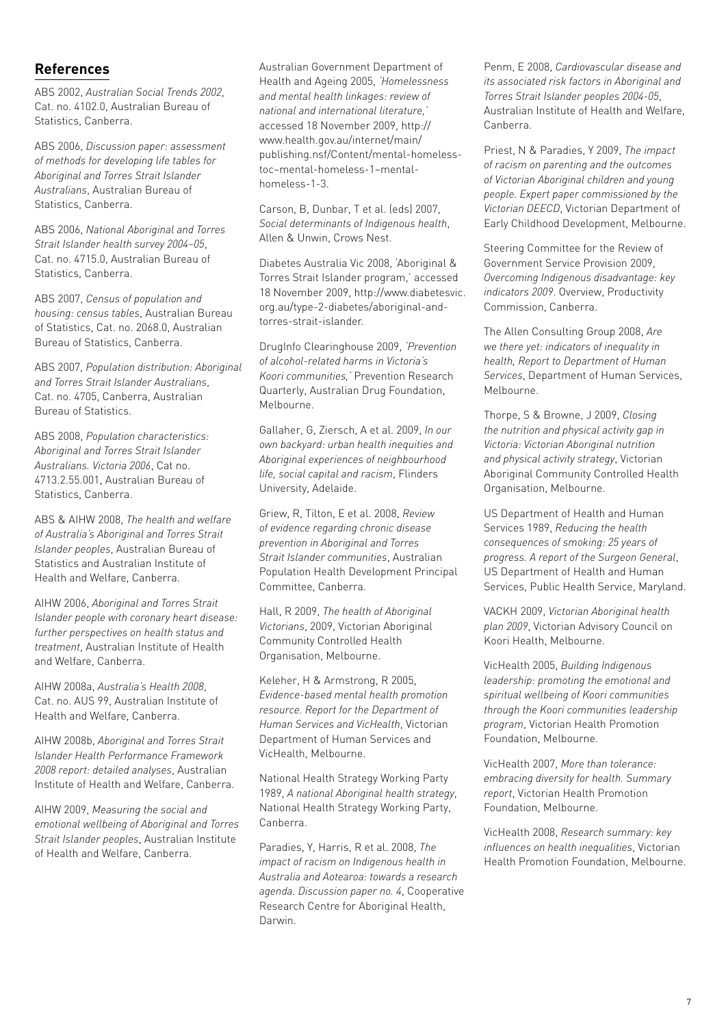#### **References**

ABS 2002, *Australian Social Trends 2002*, Cat. no. 4102.0, Australian Bureau of Statistics, Canberra.

ABS 2006, *Discussion paper: assessment of methods for developing life tables for Aboriginal and Torres Strait Islander Australians*, Australian Bureau of Statistics, Canberra.

ABS 2006, *National Aboriginal and Torres Strait Islander health survey 2004–05*, Cat. no. 4715.0, Australian Bureau of Statistics, Canberra.

ABS 2007, *Census of population and housing: census tables*, Australian Bureau of Statistics, Cat. no. 2068.0, Australian Bureau of Statistics, Canberra.

ABS 2007, *Population distribution: Aboriginal and Torres Strait Islander Australians*, Cat. no. 4705, Canberra, Australian Bureau of Statistics.

ABS 2008, *Population characteristics: Aboriginal and Torres Strait Islander Australians. Victoria 2006*, Cat no. 4713.2.55.001, Australian Bureau of Statistics, Canberra.

ABS & AIHW 2008, *The health and welfare of Australia's Aboriginal and Torres Strait Islander peoples*, Australian Bureau of Statistics and Australian Institute of Health and Welfare, Canberra.

AIHW 2006, *Aboriginal and Torres Strait Islander people with coronary heart disease: further perspectives on health status and treatment*, Australian Institute of Health and Welfare, Canberra.

AIHW 2008a, *Australia's Health 2008*, Cat. no. AUS 99, Australian Institute of Health and Welfare, Canberra.

AIHW 2008b, *Aboriginal and Torres Strait Islander Health Performance Framework 2008 report: detailed analyses*, Australian Institute of Health and Welfare, Canberra.

AIHW 2009, *Measuring the social and emotional wellbeing of Aboriginal and Torres Strait Islander peoples*, Australian Institute of Health and Welfare, Canberra.

Australian Government Department of Health and Ageing 2005, *'Homelessness and mental health linkages: review of national and international literature,'* accessed 18 November 2009, http:// www.health.gov.au/internet/main/ publishing.nsf/Content/mental-homelesstoc~mental-homeless-1~mentalhomeless-1-3.

Carson, B, Dunbar, T et al. (eds) 2007, *Social determinants of Indigenous health*, Allen & Unwin, Crows Nest.

Diabetes Australia Vic 2008, 'Aboriginal & Torres Strait Islander program,' accessed 18 November 2009, http://www.diabetesvic. org.au/type-2-diabetes/aboriginal-andtorres-strait-islander.

DrugInfo Clearinghouse 2009, *'Prevention of alcohol-related harms in Victoria's Koori communities,'* Prevention Research Quarterly, Australian Drug Foundation, Melbourne.

Gallaher, G, Ziersch, A et al. 2009, *In our own backyard: urban health inequities and Aboriginal experiences of neighbourhood life, social capital and racism*, Flinders University, Adelaide.

Griew, R, Tilton, E et al. 2008, *Review of evidence regarding chronic disease prevention in Aboriginal and Torres Strait Islander communities*, Australian Population Health Development Principal Committee, Canberra.

Hall, R 2009, *The health of Aboriginal Victorians*, 2009, Victorian Aboriginal Community Controlled Health Organisation, Melbourne.

Keleher, H & Armstrong, R 2005, *Evidence-based mental health promotion resource. Report for the Department of Human Services and VicHealth*, Victorian Department of Human Services and VicHealth, Melbourne.

National Health Strategy Working Party 1989, *A national Aboriginal health strategy*, National Health Strategy Working Party, Canberra.

Paradies, Y, Harris, R et al. 2008, *The impact of racism on Indigenous health in Australia and Aotearoa: towards a research agenda. Discussion paper no. 4*, Cooperative Research Centre for Aboriginal Health, Darwin.

Penm, E 2008, *Cardiovascular disease and its associated risk factors in Aboriginal and Torres Strait Islander peoples 2004-05*, Australian Institute of Health and Welfare, Canberra.

Priest, N & Paradies, Y 2009, *The impact of racism on parenting and the outcomes of Victorian Aboriginal children and young people. Expert paper commissioned by the Victorian DEECD*, Victorian Department of Early Childhood Development, Melbourne.

Steering Committee for the Review of Government Service Provision 2009, *Overcoming Indigenous disadvantage: key indicators 2009*. Overview, Productivity Commission, Canberra.

The Allen Consulting Group 2008, *Are we there yet: indicators of inequality in health, Report to Department of Human Services*, Department of Human Services, Melbourne.

Thorpe, S & Browne, J 2009, *Closing the nutrition and physical activity gap in Victoria: Victorian Aboriginal nutrition and physical activity strategy*, Victorian Aboriginal Community Controlled Health Organisation, Melbourne.

US Department of Health and Human Services 1989, *Reducing the health consequences of smoking: 25 years of progress. A report of the Surgeon General*, US Department of Health and Human Services, Public Health Service, Maryland.

VACKH 2009, *Victorian Aboriginal health plan 2009*, Victorian Advisory Council on Koori Health, Melbourne.

VicHealth 2005, *Building Indigenous leadership: promoting the emotional and spiritual wellbeing of Koori communities through the Koori communities leadership program*, Victorian Health Promotion Foundation, Melbourne.

VicHealth 2007, *More than tolerance: embracing diversity for health. Summary report*, Victorian Health Promotion Foundation, Melbourne.

VicHealth 2008, *Research summary: key influences on health inequalities*, Victorian Health Promotion Foundation, Melbourne.